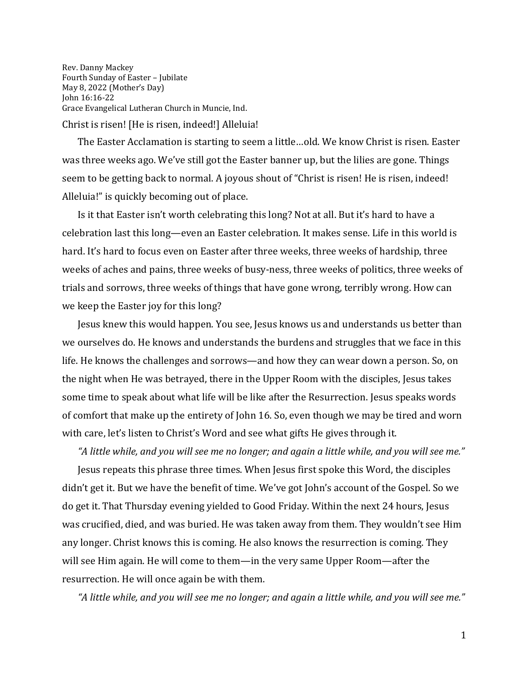Rev. Danny Mackey Fourth Sunday of Easter – Jubilate May 8, 2022 (Mother's Day) John 16:16-22 Grace Evangelical Lutheran Church in Muncie, Ind. Christ is risen! [He is risen, indeed!] Alleluia!

The Easter Acclamation is starting to seem a little…old. We know Christ is risen. Easter was three weeks ago. We've still got the Easter banner up, but the lilies are gone. Things seem to be getting back to normal. A joyous shout of "Christ is risen! He is risen, indeed! Alleluia!" is quickly becoming out of place.

Is it that Easter isn't worth celebrating this long? Not at all. But it's hard to have a celebration last this long—even an Easter celebration. It makes sense. Life in this world is hard. It's hard to focus even on Easter after three weeks, three weeks of hardship, three weeks of aches and pains, three weeks of busy-ness, three weeks of politics, three weeks of trials and sorrows, three weeks of things that have gone wrong, terribly wrong. How can we keep the Easter joy for this long?

Jesus knew this would happen. You see, Jesus knows us and understands us better than we ourselves do. He knows and understands the burdens and struggles that we face in this life. He knows the challenges and sorrows—and how they can wear down a person. So, on the night when He was betrayed, there in the Upper Room with the disciples, Jesus takes some time to speak about what life will be like after the Resurrection. Jesus speaks words of comfort that make up the entirety of John 16. So, even though we may be tired and worn with care, let's listen to Christ's Word and see what gifts He gives through it.

*"A little while, and you will see me no longer; and again a little while, and you will see me."* Jesus repeats this phrase three times. When Jesus first spoke this Word, the disciples didn't get it. But we have the benefit of time. We've got John's account of the Gospel. So we do get it. That Thursday evening yielded to Good Friday. Within the next 24 hours, Jesus was crucified, died, and was buried. He was taken away from them. They wouldn't see Him any longer. Christ knows this is coming. He also knows the resurrection is coming. They will see Him again. He will come to them—in the very same Upper Room—after the resurrection. He will once again be with them.

*"A little while, and you will see me no longer; and again a little while, and you will see me."*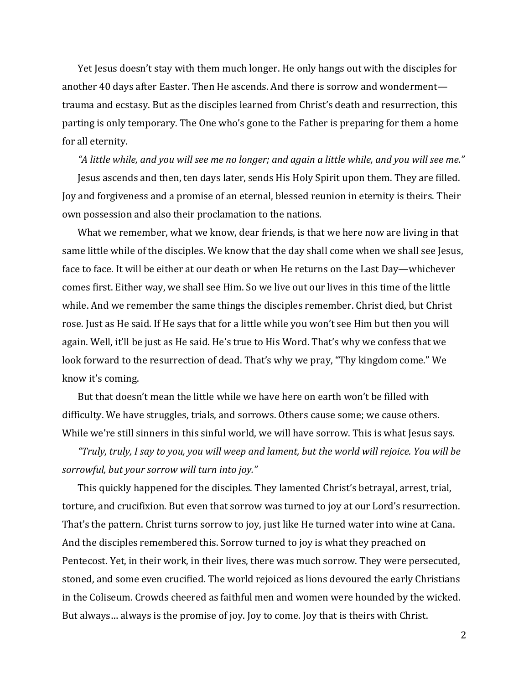Yet Jesus doesn't stay with them much longer. He only hangs out with the disciples for another 40 days after Easter. Then He ascends. And there is sorrow and wonderment trauma and ecstasy. But as the disciples learned from Christ's death and resurrection, this parting is only temporary. The One who's gone to the Father is preparing for them a home for all eternity.

*"A little while, and you will see me no longer; and again a little while, and you will see me."*

Jesus ascends and then, ten days later, sends His Holy Spirit upon them. They are filled. Joy and forgiveness and a promise of an eternal, blessed reunion in eternity is theirs. Their own possession and also their proclamation to the nations.

What we remember, what we know, dear friends, is that we here now are living in that same little while of the disciples. We know that the day shall come when we shall see Jesus, face to face. It will be either at our death or when He returns on the Last Day—whichever comes first. Either way, we shall see Him. So we live out our lives in this time of the little while. And we remember the same things the disciples remember. Christ died, but Christ rose. Just as He said. If He says that for a little while you won't see Him but then you will again. Well, it'll be just as He said. He's true to His Word. That's why we confess that we look forward to the resurrection of dead. That's why we pray, "Thy kingdom come." We know it's coming.

But that doesn't mean the little while we have here on earth won't be filled with difficulty. We have struggles, trials, and sorrows. Others cause some; we cause others. While we're still sinners in this sinful world, we will have sorrow. This is what Jesus says.

*"Truly, truly, I say to you, you will weep and lament, but the world will rejoice. You will be sorrowful, but your sorrow will turn into joy."*

This quickly happened for the disciples. They lamented Christ's betrayal, arrest, trial, torture, and crucifixion. But even that sorrow was turned to joy at our Lord's resurrection. That's the pattern. Christ turns sorrow to joy, just like He turned water into wine at Cana. And the disciples remembered this. Sorrow turned to joy is what they preached on Pentecost. Yet, in their work, in their lives, there was much sorrow. They were persecuted, stoned, and some even crucified. The world rejoiced as lions devoured the early Christians in the Coliseum. Crowds cheered as faithful men and women were hounded by the wicked. But always… always is the promise of joy. Joy to come. Joy that is theirs with Christ.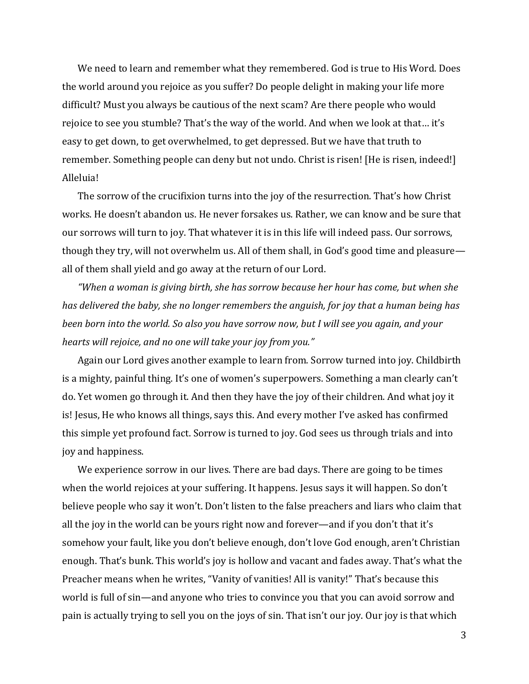We need to learn and remember what they remembered. God is true to His Word. Does the world around you rejoice as you suffer? Do people delight in making your life more difficult? Must you always be cautious of the next scam? Are there people who would rejoice to see you stumble? That's the way of the world. And when we look at that… it's easy to get down, to get overwhelmed, to get depressed. But we have that truth to remember. Something people can deny but not undo. Christ is risen! [He is risen, indeed!] Alleluia!

The sorrow of the crucifixion turns into the joy of the resurrection. That's how Christ works. He doesn't abandon us. He never forsakes us. Rather, we can know and be sure that our sorrows will turn to joy. That whatever it is in this life will indeed pass. Our sorrows, though they try, will not overwhelm us. All of them shall, in God's good time and pleasure all of them shall yield and go away at the return of our Lord.

*"When a woman is giving birth, she has sorrow because her hour has come, but when she has delivered the baby, she no longer remembers the anguish, for joy that a human being has been born into the world. So also you have sorrow now, but I will see you again, and your hearts will rejoice, and no one will take your joy from you."*

Again our Lord gives another example to learn from. Sorrow turned into joy. Childbirth is a mighty, painful thing. It's one of women's superpowers. Something a man clearly can't do. Yet women go through it. And then they have the joy of their children. And what joy it is! Jesus, He who knows all things, says this. And every mother I've asked has confirmed this simple yet profound fact. Sorrow is turned to joy. God sees us through trials and into joy and happiness.

We experience sorrow in our lives. There are bad days. There are going to be times when the world rejoices at your suffering. It happens. Jesus says it will happen. So don't believe people who say it won't. Don't listen to the false preachers and liars who claim that all the joy in the world can be yours right now and forever—and if you don't that it's somehow your fault, like you don't believe enough, don't love God enough, aren't Christian enough. That's bunk. This world's joy is hollow and vacant and fades away. That's what the Preacher means when he writes, "Vanity of vanities! All is vanity!" That's because this world is full of sin—and anyone who tries to convince you that you can avoid sorrow and pain is actually trying to sell you on the joys of sin. That isn't our joy. Our joy is that which